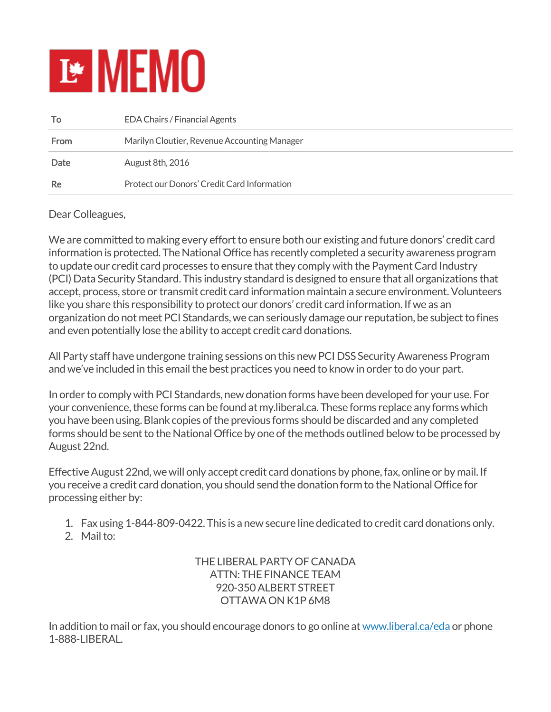## **E MEMO**

| To          | <b>EDA Chairs / Financial Agents</b>         |
|-------------|----------------------------------------------|
| <b>From</b> | Marilyn Cloutier, Revenue Accounting Manager |
| Date        | August 8th, 2016                             |
| Re          | Protect our Donors' Credit Card Information  |

Dear Colleagues,

We are committed to making every effort to ensure both our existing and future donors' credit card information is protected. The National Office has recently completed a security awareness program to update our credit card processes to ensure that they comply with the Payment Card Industry (PCI) Data Security Standard. This industry standard is designed to ensure that all organizations that accept, process, store or transmit credit card information maintain a secure environment. Volunteers like you share this responsibility to protect our donors' credit card information. If we as an organization do not meet PCI Standards, we can seriously damage our reputation, be subject to fines and even potentially lose the ability to accept credit card donations.

All Party staff have undergone training sessions on this new PCI DSS Security Awareness Program and we've included in this email the best practices you need to know in order to do your part.

In order to comply with PCI Standards, new donation forms have been developed for your use. For your convenience, these forms can be found at my.liberal.ca. These forms replace any forms which you have been using. Blank copies of the previous forms should be discarded and any completed forms should be sent to the National Office by one of the methods outlined below to be processed by August 22nd.

Effective August 22nd, we will only accept credit card donations by phone, fax, online or by mail. If you receive a credit card donation, you should send the donation form to the National Office for processing either by:

- 1. Fax using 1-844-809-0422. This is a new secure line dedicated to credit card donations only.
- 2. Mail to:

THE LIBERAL PARTY OF CANADA ATTN: THE FINANCE TEAM 920-350 ALBERT STREET OTTAWA ON K1P 6M8

In addition to mail or fax, you should encourage donors to go online at [www.liberal.ca/eda](https://my2.liberal.ca/www.liberal.ca/eda) or phone 1-888-LIBERAL.